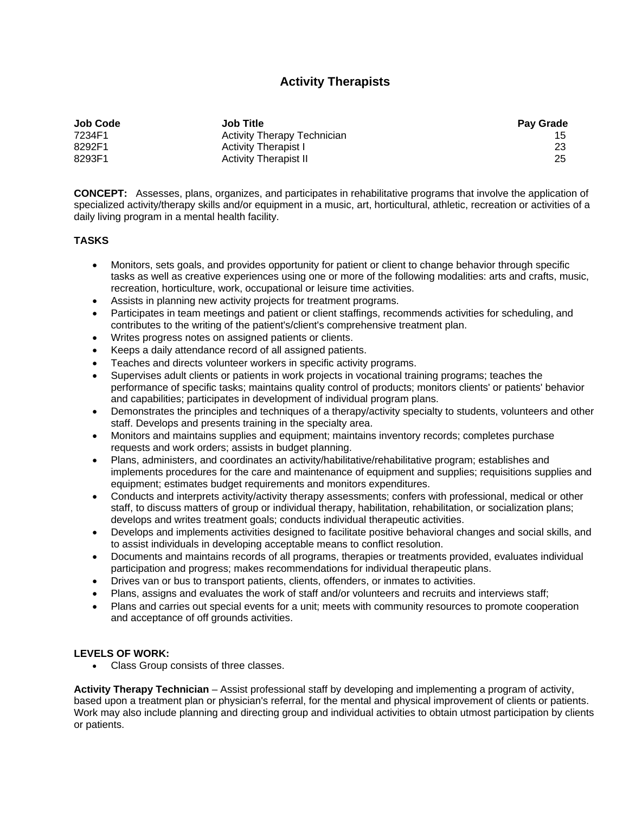## **Activity Therapists**

| <b>Job Code</b> | <b>Job Title</b>                   | <b>Pay Grade</b> |
|-----------------|------------------------------------|------------------|
| 7234F1          | <b>Activity Therapy Technician</b> |                  |
| 8292F1          | <b>Activity Therapist I</b>        | -23              |
| 8293F1          | <b>Activity Therapist II</b>       | 25               |

**CONCEPT:** Assesses, plans, organizes, and participates in rehabilitative programs that involve the application of specialized activity/therapy skills and/or equipment in a music, art, horticultural, athletic, recreation or activities of a daily living program in a mental health facility.

## **TASKS**

- Monitors, sets goals, and provides opportunity for patient or client to change behavior through specific tasks as well as creative experiences using one or more of the following modalities: arts and crafts, music, recreation, horticulture, work, occupational or leisure time activities.
- Assists in planning new activity projects for treatment programs.
- Participates in team meetings and patient or client staffings, recommends activities for scheduling, and contributes to the writing of the patient's/client's comprehensive treatment plan.
- Writes progress notes on assigned patients or clients.
- Keeps a daily attendance record of all assigned patients.
- Teaches and directs volunteer workers in specific activity programs.
- Supervises adult clients or patients in work projects in vocational training programs; teaches the performance of specific tasks; maintains quality control of products; monitors clients' or patients' behavior and capabilities; participates in development of individual program plans.
- Demonstrates the principles and techniques of a therapy/activity specialty to students, volunteers and other staff. Develops and presents training in the specialty area.
- Monitors and maintains supplies and equipment; maintains inventory records; completes purchase requests and work orders; assists in budget planning.
- Plans, administers, and coordinates an activity/habilitative/rehabilitative program; establishes and implements procedures for the care and maintenance of equipment and supplies; requisitions supplies and equipment; estimates budget requirements and monitors expenditures.
- Conducts and interprets activity/activity therapy assessments; confers with professional, medical or other staff, to discuss matters of group or individual therapy, habilitation, rehabilitation, or socialization plans; develops and writes treatment goals; conducts individual therapeutic activities.
- Develops and implements activities designed to facilitate positive behavioral changes and social skills, and to assist individuals in developing acceptable means to conflict resolution.
- Documents and maintains records of all programs, therapies or treatments provided, evaluates individual participation and progress; makes recommendations for individual therapeutic plans.
- Drives van or bus to transport patients, clients, offenders, or inmates to activities.
- Plans, assigns and evaluates the work of staff and/or volunteers and recruits and interviews staff;
- Plans and carries out special events for a unit; meets with community resources to promote cooperation and acceptance of off grounds activities.

## **LEVELS OF WORK:**

Class Group consists of three classes.

**Activity Therapy Technician** – Assist professional staff by developing and implementing a program of activity, based upon a treatment plan or physician's referral, for the mental and physical improvement of clients or patients. Work may also include planning and directing group and individual activities to obtain utmost participation by clients or patients.